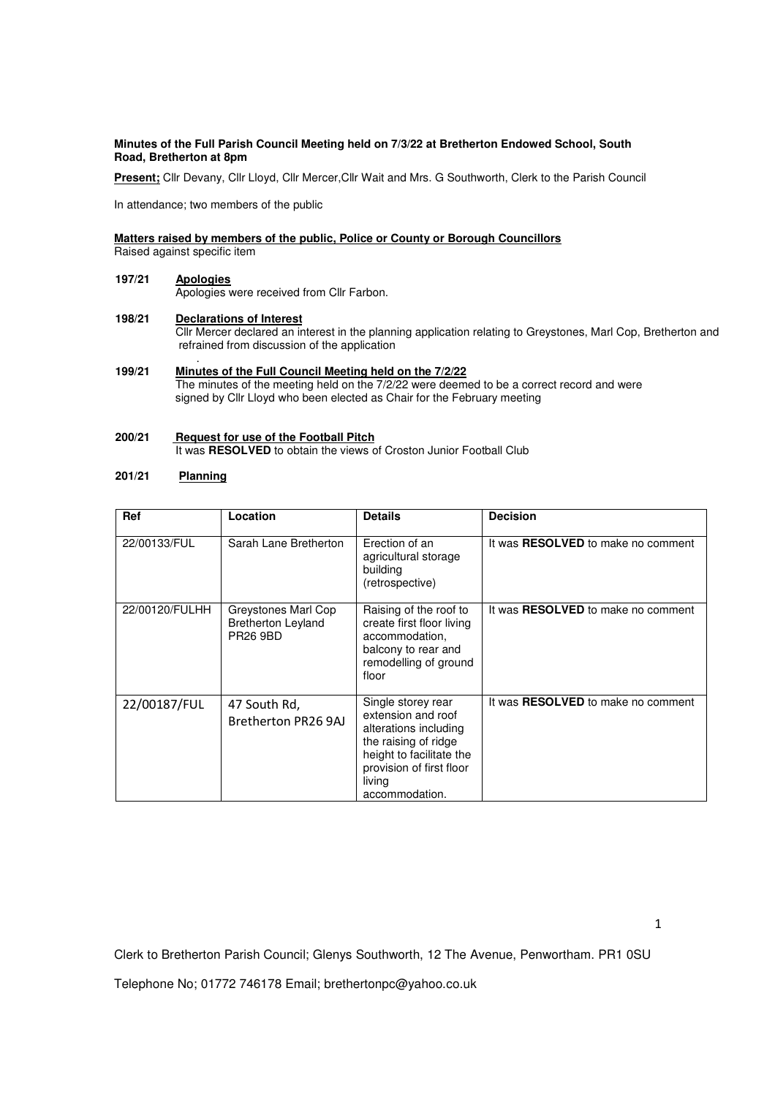### **Minutes of the Full Parish Council Meeting held on 7/3/22 at Bretherton Endowed School, South Road, Bretherton at 8pm**

Present; Cllr Devany, Cllr Lloyd, Cllr Mercer, Cllr Wait and Mrs. G Southworth, Clerk to the Parish Council

In attendance; two members of the public

### **Matters raised by members of the public, Police or County or Borough Councillors**

Raised against specific item

### **197/21 Apologies** Apologies were received from Cllr Farbon.

**198/21 Declarations of Interest** Cllr Mercer declared an interest in the planning application relating to Greystones, Marl Cop, Bretherton and refrained from discussion of the application .

## **199/21 Minutes of the Full Council Meeting held on the 7/2/22**

 The minutes of the meeting held on the 7/2/22 were deemed to be a correct record and were signed by Cllr Lloyd who been elected as Chair for the February meeting

# **200/21 Request for use of the Football Pitch**

It was **RESOLVED** to obtain the views of Croston Junior Football Club

# **201/21 Planning**

| Ref            | Location                                                            | <b>Details</b>                                                                                                                                                                | <b>Decision</b>                           |
|----------------|---------------------------------------------------------------------|-------------------------------------------------------------------------------------------------------------------------------------------------------------------------------|-------------------------------------------|
| 22/00133/FUL   | Sarah Lane Bretherton                                               | Erection of an<br>agricultural storage<br>building<br>(retrospective)                                                                                                         | It was RESOLVED to make no comment        |
| 22/00120/FULHH | Greystones Marl Cop<br><b>Bretherton Leyland</b><br><b>PR26 9BD</b> | Raising of the roof to<br>create first floor living<br>accommodation,<br>balcony to rear and<br>remodelling of ground<br>floor                                                | It was <b>RESOLVED</b> to make no comment |
| 22/00187/FUL   | 47 South Rd,<br>Bretherton PR26 9AJ                                 | Single storey rear<br>extension and roof<br>alterations including<br>the raising of ridge<br>height to facilitate the<br>provision of first floor<br>living<br>accommodation. | It was <b>RESOLVED</b> to make no comment |

Clerk to Bretherton Parish Council; Glenys Southworth, 12 The Avenue, Penwortham. PR1 0SU

Telephone No; 01772 746178 Email; brethertonpc@yahoo.co.uk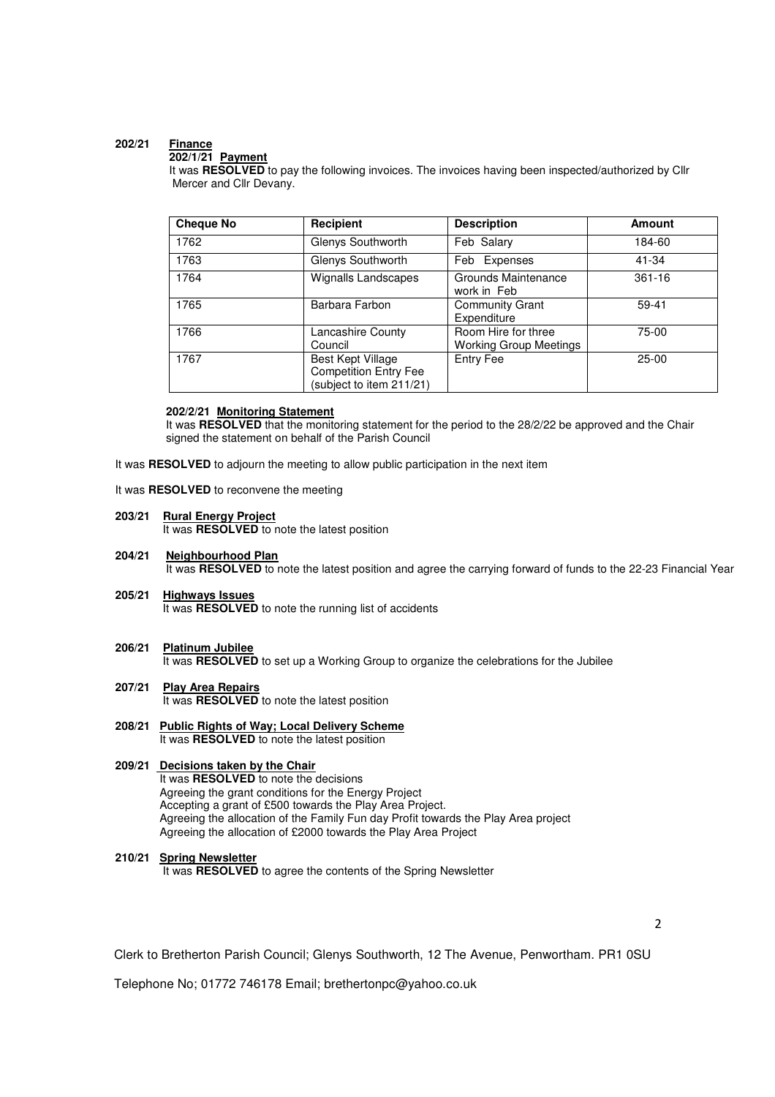# **202/21 Finance**

# **202/1/21 Payment**

 It was **RESOLVED** to pay the following invoices. The invoices having been inspected/authorized by Cllr Mercer and Cllr Devany.

| <b>Cheque No</b> | Recipient                                                                     | <b>Description</b>                                   | <b>Amount</b> |
|------------------|-------------------------------------------------------------------------------|------------------------------------------------------|---------------|
| 1762             | Glenys Southworth                                                             | Feb Salary                                           | 184-60        |
| 1763             | Glenys Southworth                                                             | Feb Expenses                                         | 41-34         |
| 1764             | Wignalls Landscapes                                                           | Grounds Maintenance<br>work in Feb                   | $361 - 16$    |
| 1765             | Barbara Farbon                                                                | <b>Community Grant</b><br>Expenditure                | 59-41         |
| 1766             | Lancashire County<br>Council                                                  | Room Hire for three<br><b>Working Group Meetings</b> | 75-00         |
| 1767             | Best Kept Village<br><b>Competition Entry Fee</b><br>(subject to item 211/21) | <b>Entry Fee</b>                                     | $25-00$       |

### **202/2/21 Monitoring Statement**

It was **RESOLVED** that the monitoring statement for the period to the 28/2/22 be approved and the Chair signed the statement on behalf of the Parish Council

It was **RESOLVED** to adjourn the meeting to allow public participation in the next item

It was **RESOLVED** to reconvene the meeting

**203/21 Rural Energy Project** 

It was **RESOLVED** to note the latest position

- **204/21 Neighbourhood Plan** It was **RESOLVED** to note the latest position and agree the carrying forward of funds to the 22-23 Financial Year
- **205/21 Highways Issues** It was **RESOLVED** to note the running list of accidents
- **206/21 Platinum Jubilee**

It was **RESOLVED** to set up a Working Group to organize the celebrations for the Jubilee

- **207/21 Play Area Repairs** It was **RESOLVED** to note the latest position
- **208/21 Public Rights of Way; Local Delivery Scheme** It was **RESOLVED** to note the latest position

#### **209/21 Decisions taken by the Chair**  It was **RESOLVED** to note the decisions Agreeing the grant conditions for the Energy Project Accepting a grant of £500 towards the Play Area Project. Agreeing the allocation of the Family Fun day Profit towards the Play Area project Agreeing the allocation of £2000 towards the Play Area Project

## **210/21 Spring Newsletter**

It was **RESOLVED** to agree the contents of the Spring Newsletter

2

Clerk to Bretherton Parish Council; Glenys Southworth, 12 The Avenue, Penwortham. PR1 0SU

Telephone No; 01772 746178 Email; brethertonpc@yahoo.co.uk